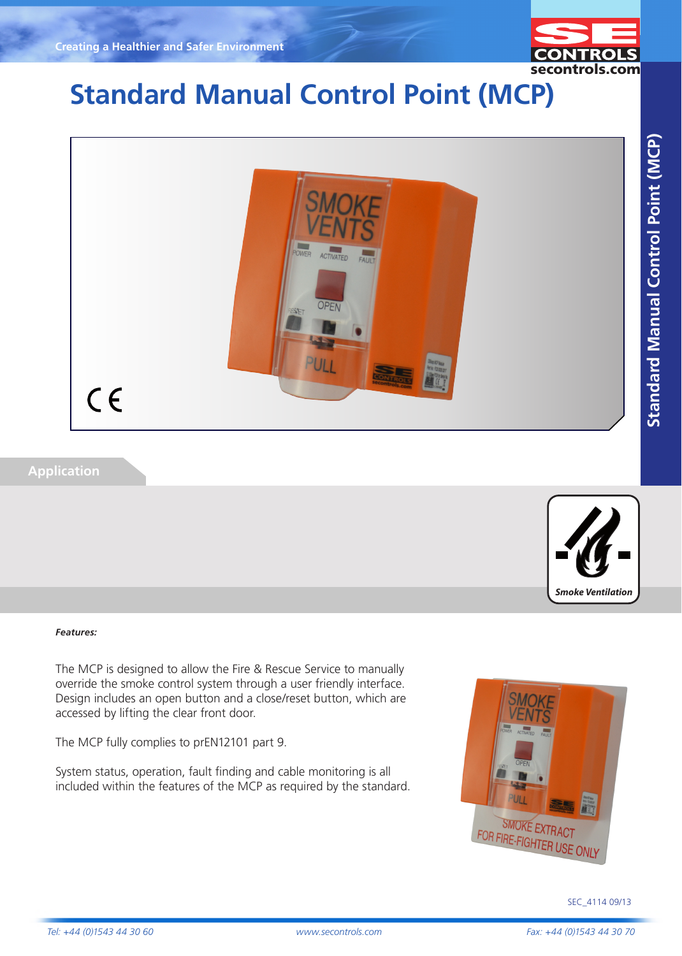

# **Standard Manual Control Point (MCP)**



### **Application**



#### *Features:*

The MCP is designed to allow the Fire & Rescue Service to manually override the smoke control system through a user friendly interface. Design includes an open button and a close/reset button, which are accessed by lifting the clear front door.

The MCP fully complies to prEN12101 part 9.

System status, operation, fault finding and cable monitoring is all included within the features of the MCP as required by the standard.



**Standard Manual Control Point (MCP) Standard Manual Control Point (MCP) FIXINGS & BRACKETS**